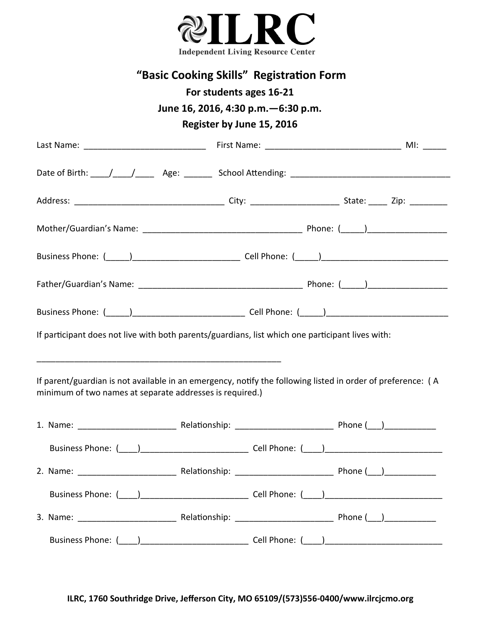

| "Basic Cooking Skills" Registration Form<br>For students ages 16-21<br>June 16, 2016, 4:30 p.m. - 6:30 p.m.<br>Register by June 15, 2016                                                                                       |  |  |  |  |  |  |
|--------------------------------------------------------------------------------------------------------------------------------------------------------------------------------------------------------------------------------|--|--|--|--|--|--|
|                                                                                                                                                                                                                                |  |  |  |  |  |  |
| Date of Birth: \big \times\dot_{\bigsir{\bigsir{\bigsir{\bigsir{\bigsir{\bigsir{\bigsir{\bigsir{\bigsir{\bigsir{\bigsir{\bigsir{\bigsir{\bigsir{\bigsir{\bigsir{\bigsir{\bigsir{\bigsir{\bigsir{\bigsir{\bigsir{\bigsir{\bigsi |  |  |  |  |  |  |
|                                                                                                                                                                                                                                |  |  |  |  |  |  |
|                                                                                                                                                                                                                                |  |  |  |  |  |  |
|                                                                                                                                                                                                                                |  |  |  |  |  |  |
|                                                                                                                                                                                                                                |  |  |  |  |  |  |
|                                                                                                                                                                                                                                |  |  |  |  |  |  |
| If participant does not live with both parents/guardians, list which one participant lives with:                                                                                                                               |  |  |  |  |  |  |
| If parent/guardian is not available in an emergency, notify the following listed in order of preference: (A<br>minimum of two names at separate addresses is required.)                                                        |  |  |  |  |  |  |
|                                                                                                                                                                                                                                |  |  |  |  |  |  |
|                                                                                                                                                                                                                                |  |  |  |  |  |  |
|                                                                                                                                                                                                                                |  |  |  |  |  |  |
|                                                                                                                                                                                                                                |  |  |  |  |  |  |
|                                                                                                                                                                                                                                |  |  |  |  |  |  |
|                                                                                                                                                                                                                                |  |  |  |  |  |  |

**ILRC, 1760 Southridge Drive, Jefferson City, MO 65109/(573)556-0400/www.ilrcjcmo.org**